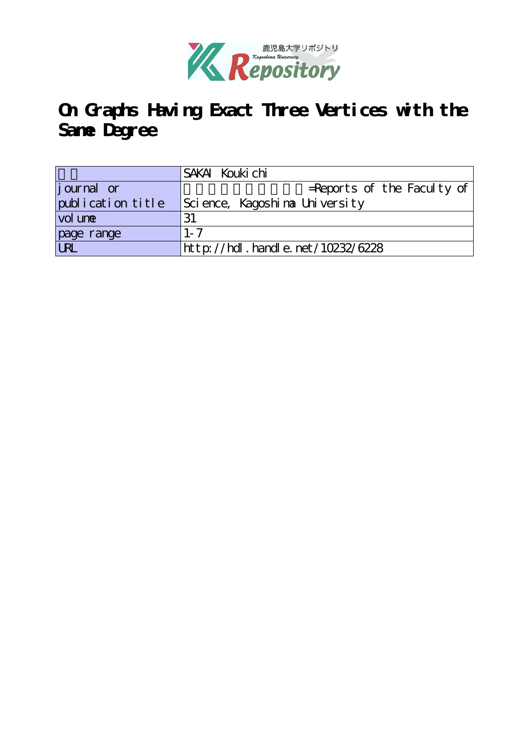

# **On Graphs Having Exact Three Vertices with the Same Degree**

|                   | SAKAI Kouki chi                  |
|-------------------|----------------------------------|
| journal or        | $=$ Reports of the Faculty of    |
| publication title | Science,Kagoshina University     |
| vol une           | 31                               |
| page range        | $1 - 7$                          |
| <b>URL</b>        | http://hdl.handle.net/10232/6228 |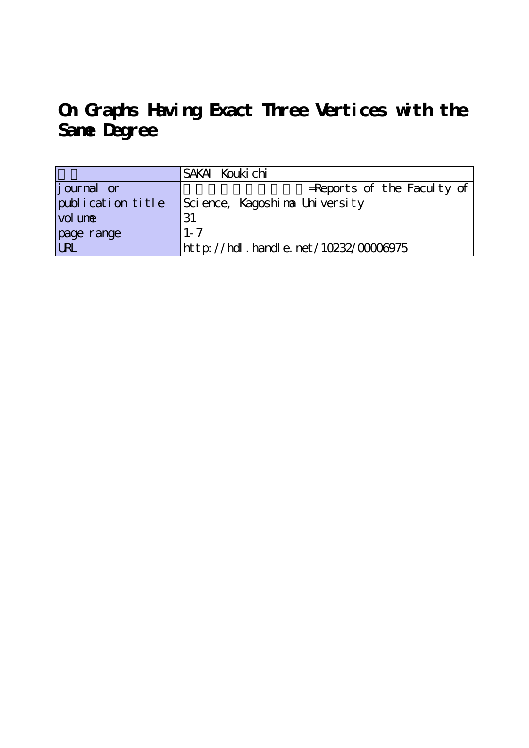**On Graphs Having Exact Three Vertices with the Same Degree**

|                   | SAKAI Kouki chi                      |
|-------------------|--------------------------------------|
| journal or        | $=$ Reports of the Faculty of        |
| publication title | Science, Kagoshina University        |
| vol une           | 31                                   |
| page range        | $1 - 7$                              |
| UN                | http://hdl.handle.net/10232/00006975 |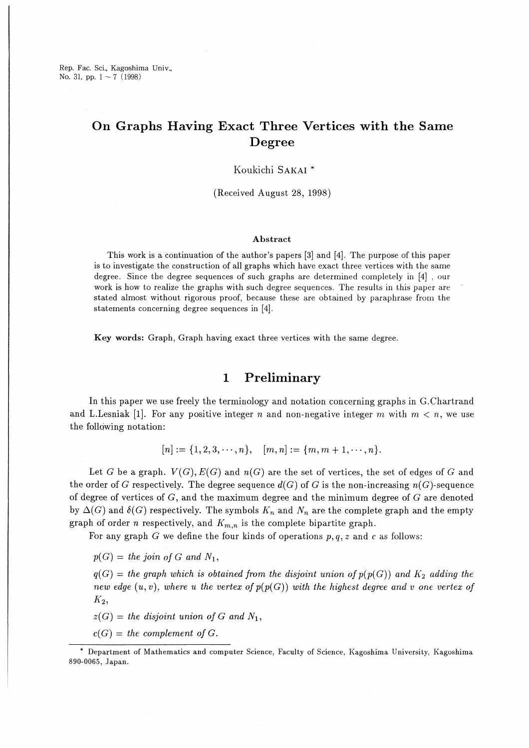Rep. Fac. Sci., Kagoshima Univ., No. 31, pp.  $1 \sim 7$  (1998)

# On Graphs Having Exact Three Vertices with the Same Degree

## Koukichi SAKAI<sup>\*</sup>

(Received August 28, 1998)

### Abstract

This work is a continuation of the author's papers [3] and [4】. The purpose of this paper is to investigate the construction of all graphs which have exact three vertices with the same degree. Since the degree sequences of such graphs are determined completely in [4] , our work is how to realize the graphs with such degree sequences. The results in this paper are stated almost without rigorous proof, because these are obtained by paraphrase from the statements concerning degree sequences in [4】.

Key words: Graph, Graph having exact three vertices with the same degree.

# 1 Preliminary

In this paper we use freely the terminology and notation concerning graphs in G.Chartrand and L.Lesniak [1]. For any positive integer n and non-negative integer m with  $m < n$ , we use the following notation:

$$
[n] := \{1, 2, 3, \cdots, n\}, \quad [m, n] := \{m, m + 1, \cdots, n\}.
$$

Let G be a graph.  $V(G), E(G)$  and  $n(G)$  are the set of vertices, the set of edges of G and the order of G respectively. The degree sequence  $d(G)$  of G is the non-increasing  $n(G)$ -sequence of degree of vertices of  $G$ , and the maximum degree and the minimum degree of  $G$  are denoted by  $\Delta(G)$  and  $\delta(G)$  respectively. The symbols  $K_n$  and  $N_n$  are the complete graph and the empty graph of order n respectively, and  $K_{m,n}$  is the complete bipartite graph.

For any graph  $G$  we define the four kinds of operations  $p,q,z$  and  $c$  as follows:

 $p(G) =$  the join of G and  $N_1$ ,

 $q(G)$  = the graph which is obtained from the disjoint union of  $p(p(G))$  and  $K_2$  adding the new edge  $(u, v)$ , where u the vertex of  $p(p(G))$  with the highest degree and v one vertex of  $K_2$ ,

 $z(G)$  = the disjoint union of G and  $N_1$ ,

 $c(G)$  = the complement of G.

事Department of Mathematics and computer Science, Faculty of Science, Kagoshima University, Kagoshima 890-0065, Japan.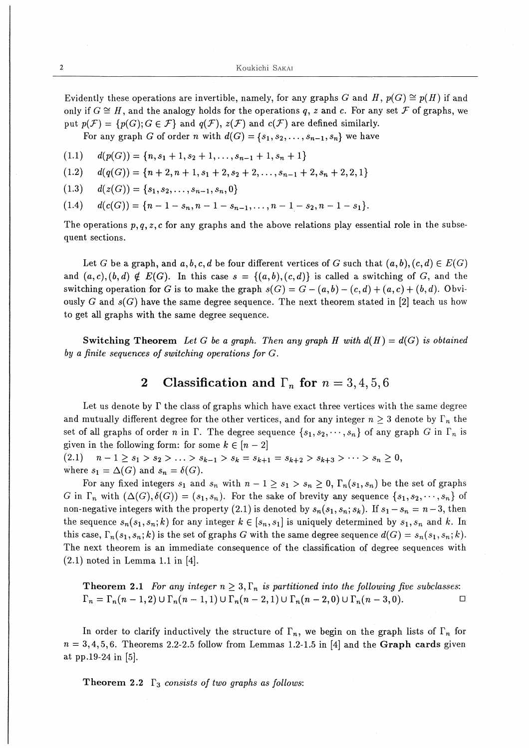Evidently these operations are invertible, namely, for any graphs G and H,  $p(G) \cong p(H)$  if and only if  $G \cong H$ , and the analogy holds for the operations q, z and c. For any set F of graphs, we put  $p(\mathcal{F}) = \{p(G); G \in \mathcal{F}\}\$ and  $q(\mathcal{F}), z(\mathcal{F})$  and  $c(\mathcal{F})$  are defined similarly.

For any graph G of order n with  $d(G) = \{s_1, s_2, \ldots, s_{n-1}, s_n\}$  we have

$$
(1.1) \quad d(p(G)) = \{n, s_1 + 1, s_2 + 1, \ldots, s_{n-1} + 1, s_n + 1\}
$$

- $(1.2)$   $d(q(G)) = {n+2, n+1, s_1+2, s_2+2, \ldots, s_{n-1}+2, s_n+2, 2, 1}$
- (1.3)  $d(z(G)) = \{s_1, s_2, \ldots, s_{n-1}, s_n, 0\}$
- (1.4)  $d(c(G)) = {n-1-s_n, n-1-s_{n-1}, \ldots, n-1-s_2, n-1-s_1}.$

The operations  $p, q, z, c$  for any graphs and the above relations play essential role in the subsequent sections.

Let G be a graph, and  $a, b, c, d$  be four different vertices of G such that  $(a, b), (c, d) \in E(G)$ and  $(a, c), (b, d) \notin E(G)$ . In this case  $s = \{(a, b), (c, d)\}\$ is called a switching of G, and the switching operation for G is to make the graph  $s(G) = G - (a, b) - (c, d) + (a, c) + (b, d)$ . Obviously G and  $s(G)$  have the same degree sequence. The next theorem stated in [2] teach us how to get all graphs with the same degree sequence.

Switching Theorem Let G be a graph. Then any graph H with  $d(H) = d(G)$  is obtained by a finite sequences of switching operations for G.

#### $\mathbf 2$ Classification and  $\Gamma_n$  for  $n = 3, 4, 5, 6$

Let us denote by  $\Gamma$  the class of graphs which have exact three vertices with the same degree and mutually different degree for the other vertices, and for any integer  $n \geq 3$  denote by  $\Gamma_n$  the set of all graphs of order n in  $\Gamma$ . The degree sequence  $\{s_1,s_2,\dots,s_n\}$  of any graph G in  $\Gamma_n$  is given in the following form: for some  $k \in [n-2]$ 

(2.1)  $n-1\geq s_1>s_2>\ldots>s_{k-1}>s_k=s_{k+1}=s_{k+2}>s_{k+3}>\ldots>s_n\geq0,$ where  $s_1 = \Delta(G)$  and  $s_n = \delta(G)$ .

For any fixed integers  $s_1$  and  $s_n$  with  $n-1 \geq s_1 > s_n \geq 0$ ,  $\Gamma_n(s_1, s_n)$  be the set of graphs G in  $\Gamma_n$  with  $(\Delta(G), \delta(G)) = (s_1, s_n)$ . For the sake of brevity any sequence  $\{s_1, s_2, \dots, s_n\}$  of non-negative integers with the property (2.1) is denoted by  $s_n(s_1, s_n; s_k)$ . If  $s_1 - s_n = n-3$ , then the sequence  $s_n(s_1,s_n;k)$  for any integer  $k \in [s_n,s_1]$  is uniquely determined by  $s_1,s_n$  and k. In this case,  $\Gamma_n(s_1,s_n;k)$  is the set of graphs G with the same degree sequence  $d(G) = s_n(s_1,s_n;k)$ . The next theorem is an immediate consequence of the classification of degree sequences with  $(2.1)$  noted in Lemma 1.1 in [4].

**Theorem 2.1** For any integer  $n \geq 3$ ,  $\Gamma_n$  is partitioned into the following five subclasses:  $\Gamma_n=\Gamma_n(n-1,2)\cup\Gamma_n(n-1,1)\cup\Gamma_n(n-2,1)\cup\Gamma_n(n-2,0)\cup\Gamma_n(n-3,0).$ 

In order to clarify inductively the structure of  $\Gamma_n$ , we begin on the graph lists of  $\Gamma_n$  for  $n = 3, 4, 5, 6$ . Theorems 2.2-2.5 follow from Lemmas 1.2-1.5 in [4] and the Graph cards given at pp.19-24 in  $[5]$ .

Theorem 2.2  $\Gamma_3$  consists of two graphs as follows: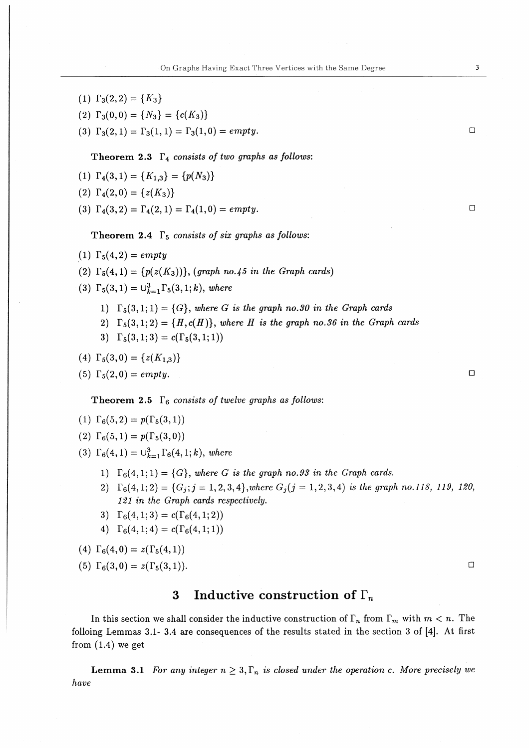- (1)  $\Gamma_3(2,2)=\{K_3\}$
- (2)  $\Gamma_3(0,0) = \{N_3\} = \{c(K_3)\}\$
- (3)  $\Gamma_3(2,1) = \Gamma_3(1,1) = \Gamma_3(1,0) = empty.$

Theorem 2.3  $\Gamma_4$  consists of two graphs as follows:

- (1)  $\Gamma_4(3,1) = \{K_{1,3}\} = \{p(N_3)\}\$
- (2)  $\Gamma_4(2,0) = \{z(K_3)\}\$
- (3)  $\Gamma_4(3,2) = \Gamma_4(2,1) = \Gamma_4(1,0) = empty.$

Theorem 2.4  $\Gamma_5$  consists of six graphs as follows:

- $(1)$   $\Gamma_5(4,2) = empty$
- (2)  $\Gamma_5(4,1) = \{p(z(K_3))\},$  (graph no.45 in the Graph cards)
- (3)  $\Gamma_5(3,1) = \bigcup_{k=1}^3 \Gamma_5(3,1;k)$ , where
	- 1)  $\Gamma_5(3,1;1) = \{G\}$ , where G is the graph no.30 in the Graph cards
	- 2)  $\Gamma_5(3,1;2) = \{H,c(H)\}\$ , where H is the graph no.36 in the Graph cards
	- 3)  $\Gamma_5(3,1;3)=c(\Gamma_5(3,1;1))$

(4) 
$$
\Gamma_5(3,0) = \{z(K_{1,3})\}
$$

(5)  $\Gamma_5(2,0) = empty.$ 

Theorem 2.5  $\Gamma_6$  consists of twelve graphs as follows:

- (1)  $\Gamma_6(5,2)=p(\Gamma_5(3,1))$
- (2)  $\Gamma_6(5,1)=p(\Gamma_5(3,0))$
- (3)  $\Gamma_6(4,1)=\bigcup_{k=1}^3\Gamma_6(4,1;k),$  where
	- 1)  $\Gamma_6(4,1;1)=\{G\}$ , where G is the graph no.93 in the Graph cards.
	- 2)  $\Gamma_6(4,1;2)=\{G_j; j=1,2,3,4\}$ , where  $G_j(j=1,2,3,4)$  is the graph no.118, 119, 120,  $121$  in the Graph cards respectively.
	- 3)  $\Gamma_6(4,1;3)=c(\Gamma_6(4,1;2))$
	- 4)  $\Gamma_6(4,1;4)=c(\Gamma_6(4,1;1))$

(4)  $\Gamma_6(4,0)=z(\Gamma_5(4,1))$ 

(5) 
$$
\Gamma_6(3,0) = z(\Gamma_5(3,1)).
$$

# 3 Inductive construction of  $\Gamma_n$

In this section we shall consider the inductive construction of  $\Gamma_n$  from  $\Gamma_m$  with  $m < n$ . The folloing Lemmas 3.1-3.4 are consequences of the results stated in the section 3 of  $[4]$ . At first from  $(1.4)$  we get

**Lemma 3.1** For any integer  $n \geq 3$ ,  $\Gamma_n$  is closed under the operation c. More precisely we have

 $\Box$ 

 $\Box$ 

 $\Box$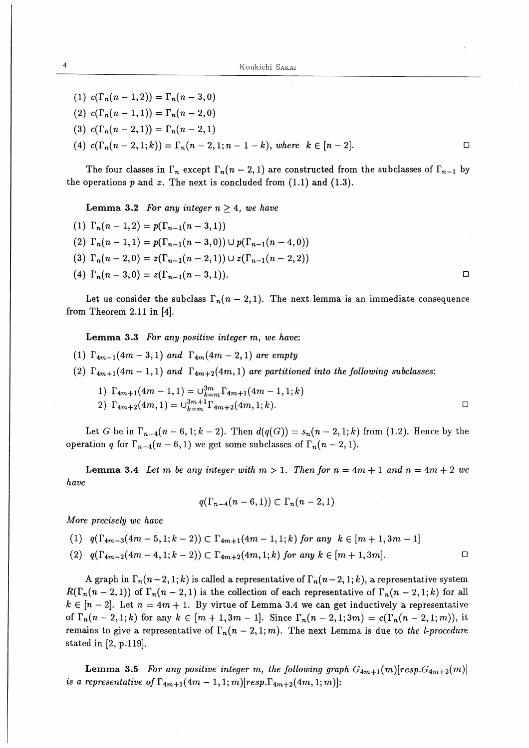- (1)  $c(\Gamma_n(n-1,2)) = \Gamma_n(n-3,0)$
- (2)  $c(\Gamma_n(n-1,1)) = \Gamma_n(n-2,0)$
- (3)  $c(\Gamma_n(n-2,1)) = \Gamma_n(n-2,1)$

(4)  $c(\Gamma_n(n-2,1;k)) = \Gamma_n(n-2,1;n-1-k)$ , where  $k \in [n-2]$ .

The four classes in  $\Gamma_n$  except  $\Gamma_n(n-2,1)$  are constructed from the subclasses of  $\Gamma_{n-1}$  by the operations  $p$  and  $z$ . The next is concluded from  $(1.1)$  and  $(1.3)$ .

Lemma 3.2 For any integer  $n \geq 4$ , we have

(1)  $\Gamma_n(n-1,2)=p(\Gamma_{n-1}(n-3,1))$ (2)  $\Gamma_n(n-1,1) = p(\Gamma_{n-1}(n-3,0)) \cup p(\Gamma_{n-1}(n-4,0))$ (3)  $\Gamma_n(n-2,0) = z(\Gamma_{n-1}(n-2,1)) \cup z(\Gamma_{n-1}(n-2,2))$ (4)  $\Gamma_n(n-3,0) = z(\Gamma_{n-1}(n-3,1)).$ 

Let us consider the subclass  $\Gamma_n (n-2,1)$ . The next lemma is an immediate consequence from Theorem 2.11 in  $[4]$ .

Lemma 3.3 For any positive integer m, we have:

- (1)  $\Gamma_{4m-1}(4m-3,1)$  and  $\Gamma_{4m}(4m-2,1)$  are empty
- (2)  $\Gamma_{4m+1}(4m-1,1)$  and  $\Gamma_{4m+2}(4m,1)$  are partitioned into the following subclasses:
	- $1) \Gamma_{4m+1}(4m-1,1) = \cup_{k=m}^{3m} \Gamma_{4m+1}(4m-1,1;k)$
	- 2)  $\Gamma_{4m+2}(4m,1) = \cup_{k=m}^{3m+1} \Gamma_{4m+2}(4m,1;k).$

Let G be in  $\Gamma_{n-4}(n-6,1;k-2)$ . Then  $d(q(G)) = s_n(n-2,1;k)$  from (1.2). Hence by the operation q for  $\Gamma_{n-4}(n-6,1)$  we get some subclasses of  $\Gamma_n(n-2,1)$ .

**Lemma 3.4** Let m be any integer with  $m > 1$ . Then for  $n = 4m + 1$  and  $n = 4m + 2$  we have

$$
q(\Gamma_{n-4}(n-6,1)) \subset \Gamma_n(n-2,1)
$$

More precisely we have

- (1)  $q(\Gamma_{4m-3}(4m-5,1;k-2)) \subset \Gamma_{4m+1}(4m-1,1;k)$  for any  $k \in [m+1,3m-1]$
- (2)  $q(\Gamma_{4m-2}(4m-4,1;k-2)) \subset \Gamma_{4m+2}(4m,1;k)$  for any  $k \in [m+1,3m]$ .

A graph in  $\Gamma_n(n-2, 1; k)$  is called a representative of  $\Gamma_n(n-2, 1; k)$ , a representative system  $R(\Gamma_n(n-2,1))$  of  $\Gamma_n(n-2,1)$  is the collection of each representative of  $\Gamma_n(n-2,1;k)$  for all  $k \in [n-2]$ . Let  $n = 4m + 1$ . By virtue of Lemma 3.4 we can get inductively a representative of  $\Gamma_n(n-2,1;k)$  for any  $k \in [m+1,3m-1]$ . Since  $\Gamma_n(n-2,1;3m) = c(\Gamma_n(n-2,1;m))$ , it remains to give a representative of  $\Gamma_n(n-2,1;m)$ . The next Lemma is due to the *l-procedure* stated in [2, p.119].

**Lemma 3.5** For any positive integer m, the following graph  $G_{4m+1}(m)[resp.G_{4m+2}(m)]$ is a representative of  $\Gamma_{4m+1}(4m-1,1; m)[resp.\Gamma_{4m+2}(4m,1; m)]$ :

 $\Box$ 

 $\Box$ 

 $\Box$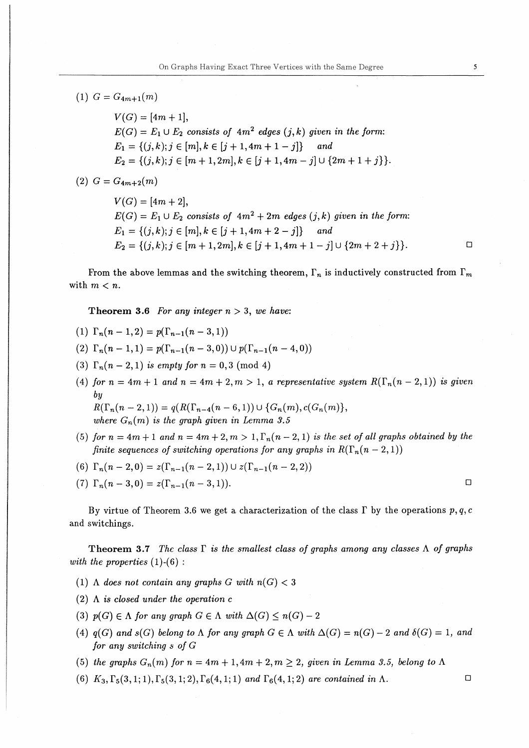# (1)  $G=G_{4m+1}(m)$

 $V(G) = [4m + 1],$  $E(G) = E_1 \cup E_2$  consists of  $4m^2$  edges  $(j, k)$  given in the form:  $E_1 = \{(j,k);j\in [m],k\in [j+1,4m+1-j]\}$  and  $E_2 = \{(j,k);j\in [m+1,2m],k\in [j+1,4m-j]\cup \{2m+1+j\}\}.$ 

 $(2)$   $G = G_{4m+2}(m)$ 

 $V(G) = [4m + 2],$  $E(G) = E_1 \cup E_2$  consists of  $4m^2 + 2m$  edges  $(j, k)$  given in the form:  $E_1 = \{(j,k); j \in [m], k \in [j+1,4m+2-j]\}$  and  $E_2 = \{(j,k);j \in [m+1,2m], k \in [j+1,4m+1-j] \cup \{2m+2+j\}\}.$  $\Box$ 

From the above lemmas and the switching theorem,  $\Gamma_n$  is inductively constructed from  $\Gamma_m$ with  $m < n$ .

Theorem 3.6 For any integer  $n > 3$ , we have:

- (1)  $\Gamma_n(n-1,2) = p(\Gamma_{n-1}(n-3,1))$
- (2)  $\Gamma_n(n-1,1) = p(\Gamma_{n-1}(n-3,0)) \cup p(\Gamma_{n-1}(n-4,0))$
- (3)  $\Gamma_n(n-2,1)$  is empty for  $n=0,3 \pmod{4}$
- (4) for  $n = 4m + 1$  and  $n = 4m + 2, m > 1$ , a representative system  $R(\Gamma_n(n-2,1))$  is given by

 $R(\Gamma_n(n-2,1)) = q(R(\Gamma_{n-4}(n-6,1))) \cup \{G_n(m), c(G_n(m))\},$ where  $G_n(m)$  is the graph given in Lemma 3.5

- (5) for  $n = 4m+1$  and  $n = 4m+2, m > 1, \Gamma_n(n-2,1)$  is the set of all graphs obtained by the finite sequences of switching operations for any graphs in  $R(\Gamma_n(n-2,1))$
- (6)  $\Gamma_n(n-2,0) = z(\Gamma_{n-1}(n-2,1)) \cup z(\Gamma_{n-1}(n-2,2))$

(7) 
$$
\Gamma_n(n-3,0) = z(\Gamma_{n-1}(n-3,1)).
$$

By virtue of Theorem 3.6 we get a characterization of the class  $\Gamma$  by the operations  $p, q, c$ and switchings.

Theorem 3.7 The class  $\Gamma$  is the smallest class of graphs among any classes  $\Lambda$  of graphs with the properties  $(1)-(6)$ :

- (1)  $\Lambda$  does not contain any graphs G with  $n(G) < 3$
- (2)  $\Lambda$  is closed under the operation c
- (3)  $p(G) \in \Lambda$  for any graph  $G \in \Lambda$  with  $\Delta(G) \leq n(G)-2$
- (4)  $q(G)$  and  $s(G)$  belong to  $\Lambda$  for any graph  $G \in \Lambda$  with  $\Delta(G) = n(G) 2$  and  $\delta(G) = 1$ , and for any switching  $s$  of  $G$
- (5) the graphs  $G_n(m)$  for  $n = 4m+1, 4m+2, m \ge 2$ , given in Lemma 3.5, belong to  $\Lambda$
- (6)  $K_3, \Gamma_5(3,1;1), \Gamma_5(3,1;2), \Gamma_6(4,1;1)$  and  $\Gamma_6(4,1;2)$  are contained in  $\Lambda$ .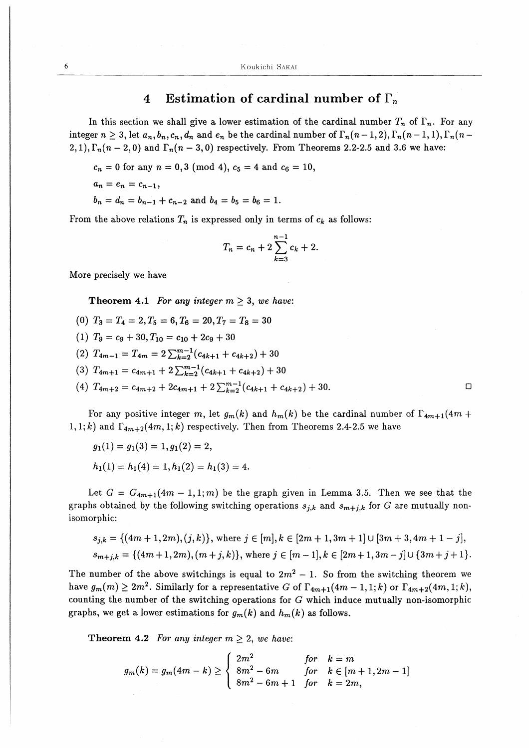# 4 Estimation of cardinal number of  $\Gamma_n$

In this section we shall give a lower estimation of the cardinal number  $T_n$  of  $\Gamma_n$ . For any integer  $n \geq 3$ , let  $a_n, b_n, c_n, d_n$  and  $e_n$  be the cardinal number of  $\Gamma_n(n-1, 2), \Gamma_n(n-1, 1), \Gamma_n(n-1, 1)$ 2, 1),  $\Gamma_n(n-2,0)$  and  $\Gamma_n(n-3,0)$  respectively. From Theorems 2.2-2.5 and 3.6 we have:

 $c_n=0$  for any  $n=0,3 \pmod{4}$ ,  $c_5=4$  and  $c_6=10$ ,

$$
a_n=e_n=c_{n-1},
$$

 $b_n=d_n=b_{n-1}+c_{n-2}$  and  $b_4=b_5=b_6=1$ .

From the above relations  $T_n$  is expressed only in terms of  $c_k$  as follows:

$$
T_n = c_n + 2 \sum_{k=3}^{n-1} c_k + 2.
$$

More precisely we have

Theorem 4.1 For any integer  $m \geq 3$ , we have:

- (0)  $T_3=T_4=2, T_5=6, T_6=20, T_7=T_8=30$
- (1)  $T_9 = c_9 + 30, T_{10} = c_{10} + 2c_9 + 30$

(2)  $T_{4m-1} = T_{4m} = 2\sum_{k=2}^{m-1} (c_{4k+1} + c_{4k+2}) + 30$ 

- (3)  $T_{4m+1} = c_{4m+1} + 2\sum_{k=2}^{m-1} (c_{4k+1} + c_{4k+2}) + 30$
- (4)  $T_{4m+2} = c_{4m+2} + 2c_{4m+1} + 2\sum_{k=2}^{m-1} (c_{4k+1} + c_{4k+2}) + 30.$  □

For any positive integer m, let  $g_m(k)$  and  $h_m(k)$  be the cardinal number of  $\Gamma_{4m+1}(4m +$ 1, 1; k) and  $\Gamma_{4m+2}(4m, 1; k)$  respectively. Then from Theorems 2.4-2.5 we have

$$
g_1(1) = g_1(3) = 1, g_1(2) = 2,
$$
  
 $h_1(1) = h_1(4) = 1, h_1(2) = h_1(3) = 4.$ 

Let  $G = G_{4m+1}(4m-1,1;m)$  be the graph given in Lemma 3.5. Then we see that the graphs obtained by the following switching operations  $s_{j,k}$  and  $s_{m+j,k}$  for G are mutually nonisomorphic:

$$
s_{j,k} = \{(4m+1, 2m), (j,k)\}, \text{ where } j \in [m], k \in [2m+1, 3m+1] \cup [3m+3, 4m+1-j],
$$
  

$$
s_{m+j,k} = \{(4m+1, 2m), (m+j,k)\}, \text{ where } j \in [m-1], k \in [2m+1, 3m-j] \cup \{3m+j+1\}.
$$

The number of the above switchings is equal to  $2m^2 - 1$ . So from the switching theorem we have  $g_m(m) \geq 2m^2$ . Similarly for a representative G of  $\Gamma_{4m+1}(4m-1,1;k)$  or  $\Gamma_{4m+2}(4m,1;k)$ , counting the number of the switching operations for  $G$  which induce mutually non-isomorphic graphs, we get a lower estimations for  $g_m(k)$  and  $h_m(k)$  as follows.

Theorem 4.2 For any integer  $m > 2$ , we have:

$$
g_m(k) = g_m(4m - k) \ge \begin{cases} 2m^2 & \text{for} \quad k = m \\ 8m^2 - 6m & \text{for} \quad k \in [m + 1, 2m - 1] \\ 8m^2 - 6m + 1 & \text{for} \quad k = 2m, \end{cases}
$$